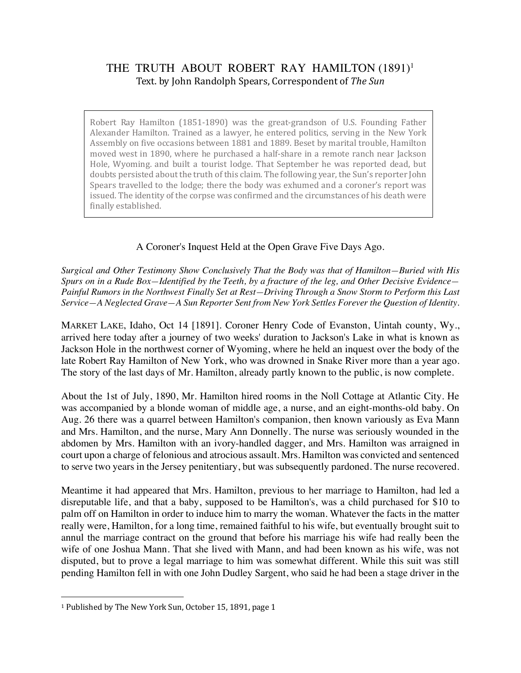## THE TRUTH ABOUT ROBERT RAY HAMILTON (1891)<sup>1</sup> Text. by John Randolph Spears, Correspondent of The Sun

Robert Ray Hamilton (1851-1890) was the great-grandson of U.S. Founding Father Alexander Hamilton. Trained as a lawyer, he entered politics, serving in the New York Assembly on five occasions between 1881 and 1889. Beset by marital trouble, Hamilton moved west in 1890, where he purchased a half-share in a remote ranch near Jackson Hole, Wyoming. and built a tourist lodge. That September he was reported dead, but doubts persisted about the truth of this claim. The following year, the Sun's reporter John Spears travelled to the lodge; there the body was exhumed and a coroner's report was issued. The identity of the corpse was confirmed and the circumstances of his death were finally established.

## A Coroner's Inquest Held at the Open Grave Five Days Ago.

*Surgical and Other Testimony Show Conclusively That the Body was that of Hamilton—Buried with His Spurs on in a Rude Box—Identified by the Teeth, by a fracture of the leg, and Other Decisive Evidence— Painful Rumors in the Northwest Finally Set at Rest—Driving Through a Snow Storm to Perform this Last Service—A Neglected Grave—A Sun Reporter Sent from New York Settles Forever the Question of Identity.* 

MARKET LAKE, Idaho, Oct 14 [1891]. Coroner Henry Code of Evanston, Uintah county, Wy., arrived here today after a journey of two weeks' duration to Jackson's Lake in what is known as Jackson Hole in the northwest corner of Wyoming, where he held an inquest over the body of the late Robert Ray Hamilton of New York, who was drowned in Snake River more than a year ago. The story of the last days of Mr. Hamilton, already partly known to the public, is now complete.

About the 1st of July, 1890, Mr. Hamilton hired rooms in the Noll Cottage at Atlantic City. He was accompanied by a blonde woman of middle age, a nurse, and an eight-months-old baby. On Aug. 26 there was a quarrel between Hamilton's companion, then known variously as Eva Mann and Mrs. Hamilton, and the nurse, Mary Ann Donnelly. The nurse was seriously wounded in the abdomen by Mrs. Hamilton with an ivory-handled dagger, and Mrs. Hamilton was arraigned in court upon a charge of felonious and atrocious assault. Mrs. Hamilton was convicted and sentenced to serve two years in the Jersey penitentiary, but was subsequently pardoned. The nurse recovered.

Meantime it had appeared that Mrs. Hamilton, previous to her marriage to Hamilton, had led a disreputable life, and that a baby, supposed to be Hamilton's, was a child purchased for \$10 to palm off on Hamilton in order to induce him to marry the woman. Whatever the facts in the matter really were, Hamilton, for a long time, remained faithful to his wife, but eventually brought suit to annul the marriage contract on the ground that before his marriage his wife had really been the wife of one Joshua Mann. That she lived with Mann, and had been known as his wife, was not disputed, but to prove a legal marriage to him was somewhat different. While this suit was still pending Hamilton fell in with one John Dudley Sargent, who said he had been a stage driver in the

 $\overline{a}$ 

<sup>&</sup>lt;sup>1</sup> Published by The New York Sun, October 15, 1891, page 1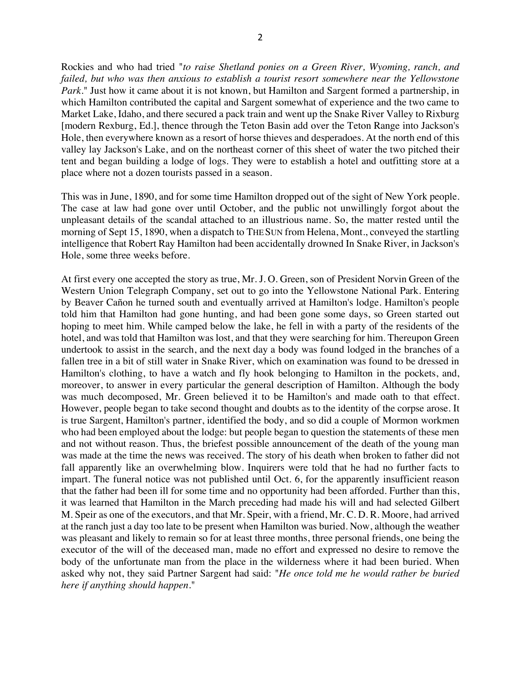Rockies and who had tried "*to raise Shetland ponies on a Green River, Wyoming, ranch, and failed, but who was then anxious to establish a tourist resort somewhere near the Yellowstone Park*." Just how it came about it is not known, but Hamilton and Sargent formed a partnership, in which Hamilton contributed the capital and Sargent somewhat of experience and the two came to Market Lake, Idaho, and there secured a pack train and went up the Snake River Valley to Rixburg [modern Rexburg, Ed.], thence through the Teton Basin add over the Teton Range into Jackson's Hole, then everywhere known as a resort of horse thieves and desperadoes. At the north end of this valley lay Jackson's Lake, and on the northeast corner of this sheet of water the two pitched their tent and began building a lodge of logs. They were to establish a hotel and outfitting store at a place where not a dozen tourists passed in a season.

This was in June, 1890, and for some time Hamilton dropped out of the sight of New York people. The case at law had gone over until October, and the public not unwillingly forgot about the unpleasant details of the scandal attached to an illustrious name. So, the matter rested until the morning of Sept 15, 1890, when a dispatch to THE SUN from Helena, Mont., conveyed the startling intelligence that Robert Ray Hamilton had been accidentally drowned In Snake River, in Jackson's Hole, some three weeks before.

At first every one accepted the story as true, Mr. J. O. Green, son of President Norvin Green of the Western Union Telegraph Company, set out to go into the Yellowstone National Park. Entering by Beaver Cañon he turned south and eventually arrived at Hamilton's lodge. Hamilton's people told him that Hamilton had gone hunting, and had been gone some days, so Green started out hoping to meet him. While camped below the lake, he fell in with a party of the residents of the hotel, and was told that Hamilton was lost, and that they were searching for him. Thereupon Green undertook to assist in the search, and the next day a body was found lodged in the branches of a fallen tree in a bit of still water in Snake River, which on examination was found to be dressed in Hamilton's clothing, to have a watch and fly hook belonging to Hamilton in the pockets, and, moreover, to answer in every particular the general description of Hamilton. Although the body was much decomposed, Mr. Green believed it to be Hamilton's and made oath to that effect. However, people began to take second thought and doubts as to the identity of the corpse arose. It is true Sargent, Hamilton's partner, identified the body, and so did a couple of Mormon workmen who had been employed about the lodge: but people began to question the statements of these men and not without reason. Thus, the briefest possible announcement of the death of the young man was made at the time the news was received. The story of his death when broken to father did not fall apparently like an overwhelming blow. Inquirers were told that he had no further facts to impart. The funeral notice was not published until Oct. 6, for the apparently insufficient reason that the father had been ill for some time and no opportunity had been afforded. Further than this, it was learned that Hamilton in the March preceding had made his will and had selected Gilbert M. Speir as one of the executors, and that Mr. Speir, with a friend, Mr. C. D. R. Moore, had arrived at the ranch just a day too late to be present when Hamilton was buried. Now, although the weather was pleasant and likely to remain so for at least three months, three personal friends, one being the executor of the will of the deceased man, made no effort and expressed no desire to remove the body of the unfortunate man from the place in the wilderness where it had been buried. When asked why not, they said Partner Sargent had said: "*He once told me he would rather be buried here if anything should happen.*"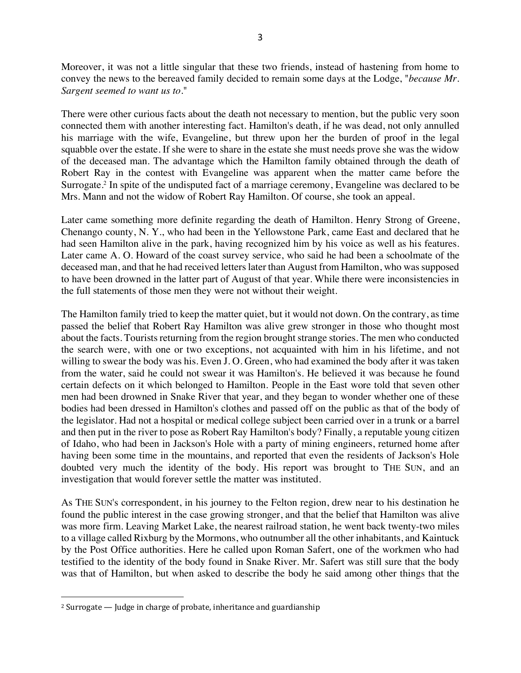Moreover, it was not a little singular that these two friends, instead of hastening from home to convey the news to the bereaved family decided to remain some days at the Lodge, "*because Mr. Sargent seemed to want us to*."

There were other curious facts about the death not necessary to mention, but the public very soon connected them with another interesting fact. Hamilton's death, if he was dead, not only annulled his marriage with the wife, Evangeline, but threw upon her the burden of proof in the legal squabble over the estate. If she were to share in the estate she must needs prove she was the widow of the deceased man. The advantage which the Hamilton family obtained through the death of Robert Ray in the contest with Evangeline was apparent when the matter came before the Surrogate.2 In spite of the undisputed fact of a marriage ceremony, Evangeline was declared to be Mrs. Mann and not the widow of Robert Ray Hamilton. Of course, she took an appeal.

Later came something more definite regarding the death of Hamilton. Henry Strong of Greene, Chenango county, N. Y., who had been in the Yellowstone Park, came East and declared that he had seen Hamilton alive in the park, having recognized him by his voice as well as his features. Later came A. O. Howard of the coast survey service, who said he had been a schoolmate of the deceased man, and that he had received letters later than August from Hamilton, who was supposed to have been drowned in the latter part of August of that year. While there were inconsistencies in the full statements of those men they were not without their weight.

The Hamilton family tried to keep the matter quiet, but it would not down. On the contrary, as time passed the belief that Robert Ray Hamilton was alive grew stronger in those who thought most about the facts. Tourists returning from the region brought strange stories. The men who conducted the search were, with one or two exceptions, not acquainted with him in his lifetime, and not willing to swear the body was his. Even J. O. Green, who had examined the body after it was taken from the water, said he could not swear it was Hamilton's. He believed it was because he found certain defects on it which belonged to Hamilton. People in the East wore told that seven other men had been drowned in Snake River that year, and they began to wonder whether one of these bodies had been dressed in Hamilton's clothes and passed off on the public as that of the body of the legislator. Had not a hospital or medical college subject been carried over in a trunk or a barrel and then put in the river to pose as Robert Ray Hamilton's body? Finally, a reputable young citizen of Idaho, who had been in Jackson's Hole with a party of mining engineers, returned home after having been some time in the mountains, and reported that even the residents of Jackson's Hole doubted very much the identity of the body. His report was brought to THE SUN, and an investigation that would forever settle the matter was instituted.

As THE SUN's correspondent, in his journey to the Felton region, drew near to his destination he found the public interest in the case growing stronger, and that the belief that Hamilton was alive was more firm. Leaving Market Lake, the nearest railroad station, he went back twenty-two miles to a village called Rixburg by the Mormons, who outnumber all the other inhabitants, and Kaintuck by the Post Office authorities. Here he called upon Roman Safert, one of the workmen who had testified to the identity of the body found in Snake River. Mr. Safert was still sure that the body was that of Hamilton, but when asked to describe the body he said among other things that the

 $\overline{a}$ 

 $2$  Surrogate  $-$  Judge in charge of probate, inheritance and guardianship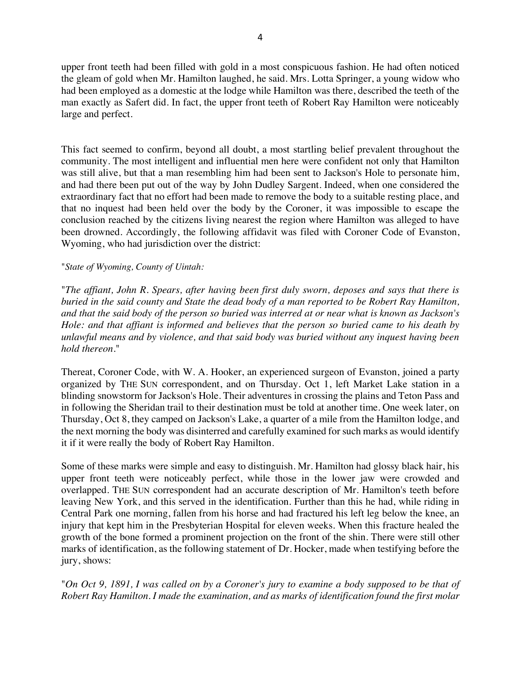upper front teeth had been filled with gold in a most conspicuous fashion. He had often noticed the gleam of gold when Mr. Hamilton laughed, he said. Mrs. Lotta Springer, a young widow who had been employed as a domestic at the lodge while Hamilton was there, described the teeth of the man exactly as Safert did. In fact, the upper front teeth of Robert Ray Hamilton were noticeably large and perfect.

This fact seemed to confirm, beyond all doubt, a most startling belief prevalent throughout the community. The most intelligent and influential men here were confident not only that Hamilton was still alive, but that a man resembling him had been sent to Jackson's Hole to personate him, and had there been put out of the way by John Dudley Sargent. Indeed, when one considered the extraordinary fact that no effort had been made to remove the body to a suitable resting place, and that no inquest had been held over the body by the Coroner, it was impossible to escape the conclusion reached by the citizens living nearest the region where Hamilton was alleged to have been drowned. Accordingly, the following affidavit was filed with Coroner Code of Evanston, Wyoming, who had jurisdiction over the district:

## "*State of Wyoming, County of Uintah:*

"*The affiant, John R. Spears, after having been first duly sworn, deposes and says that there is buried in the said county and State the dead body of a man reported to be Robert Ray Hamilton, and that the said body of the person so buried was interred at or near what is known as Jackson's Hole: and that affiant is informed and believes that the person so buried came to his death by unlawful means and by violence, and that said body was buried without any inquest having been hold thereon*."

Thereat, Coroner Code, with W. A. Hooker, an experienced surgeon of Evanston, joined a party organized by THE SUN correspondent, and on Thursday. Oct 1, left Market Lake station in a blinding snowstorm for Jackson's Hole. Their adventures in crossing the plains and Teton Pass and in following the Sheridan trail to their destination must be told at another time. One week later, on Thursday, Oct 8, they camped on Jackson's Lake, a quarter of a mile from the Hamilton lodge, and the next morning the body was disinterred and carefully examined for such marks as would identify it if it were really the body of Robert Ray Hamilton.

Some of these marks were simple and easy to distinguish. Mr. Hamilton had glossy black hair, his upper front teeth were noticeably perfect, while those in the lower jaw were crowded and overlapped. THE SUN correspondent had an accurate description of Mr. Hamilton's teeth before leaving New York, and this served in the identification. Further than this he had, while riding in Central Park one morning, fallen from his horse and had fractured his left leg below the knee, an injury that kept him in the Presbyterian Hospital for eleven weeks. When this fracture healed the growth of the bone formed a prominent projection on the front of the shin. There were still other marks of identification, as the following statement of Dr. Hocker, made when testifying before the jury, shows:

"*On Oct 9, 1891, I was called on by a Coroner's jury to examine a body supposed to be that of Robert Ray Hamilton. I made the examination, and as marks of identification found the first molar*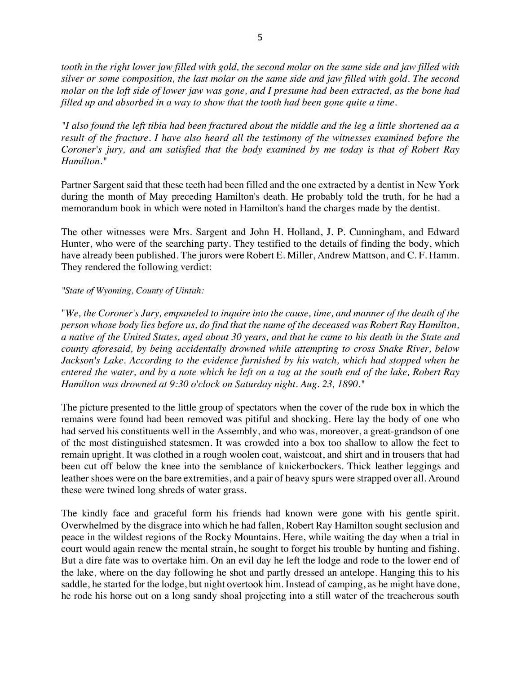*tooth in the right lower jaw filled with gold, the second molar on the same side and jaw filled with silver or some composition, the last molar on the same side and jaw filled with gold. The second molar on the loft side of lower jaw was gone, and I presume had been extracted, as the bone had filled up and absorbed in a way to show that the tooth had been gone quite a time.* 

*"I also found the left tibia had been fractured about the middle and the leg a little shortened aa a result of the fracture. I have also heard all the testimony of the witnesses examined before the Coroner's jury, and am satisfied that the body examined by me today is that of Robert Ray Hamilton."*

Partner Sargent said that these teeth had been filled and the one extracted by a dentist in New York during the month of May preceding Hamilton's death. He probably told the truth, for he had a memorandum book in which were noted in Hamilton's hand the charges made by the dentist.

The other witnesses were Mrs. Sargent and John H. Holland, J. P. Cunningham, and Edward Hunter, who were of the searching party. They testified to the details of finding the body, which have already been published. The jurors were Robert E. Miller, Andrew Mattson, and C. F. Hamm. They rendered the following verdict:

## *"State of Wyoming, County of Uintah:*

"*We, the Coroner's Jury, empaneled to inquire into the cause, time, and manner of the death of the person whose body lies before us, do find that the name of the deceased was Robert Ray Hamilton, a native of the United States, aged about 30 years, and that he came to his death in the State and county aforesaid, by being accidentally drowned while attempting to cross Snake River, below Jackson's Lake. According to the evidence furnished by his watch, which had stopped when he entered the water, and by a note which he left on a tag at the south end of the lake, Robert Ray Hamilton was drowned at 9:30 o'clock on Saturday night. Aug. 23, 1890."*

The picture presented to the little group of spectators when the cover of the rude box in which the remains were found had been removed was pitiful and shocking. Here lay the body of one who had served his constituents well in the Assembly, and who was, moreover, a great-grandson of one of the most distinguished statesmen. It was crowded into a box too shallow to allow the feet to remain upright. It was clothed in a rough woolen coat, waistcoat, and shirt and in trousers that had been cut off below the knee into the semblance of knickerbockers. Thick leather leggings and leather shoes were on the bare extremities, and a pair of heavy spurs were strapped over all. Around these were twined long shreds of water grass.

The kindly face and graceful form his friends had known were gone with his gentle spirit. Overwhelmed by the disgrace into which he had fallen, Robert Ray Hamilton sought seclusion and peace in the wildest regions of the Rocky Mountains. Here, while waiting the day when a trial in court would again renew the mental strain, he sought to forget his trouble by hunting and fishing. But a dire fate was to overtake him. On an evil day he left the lodge and rode to the lower end of the lake, where on the day following he shot and partly dressed an antelope. Hanging this to his saddle, he started for the lodge, but night overtook him. Instead of camping, as he might have done, he rode his horse out on a long sandy shoal projecting into a still water of the treacherous south